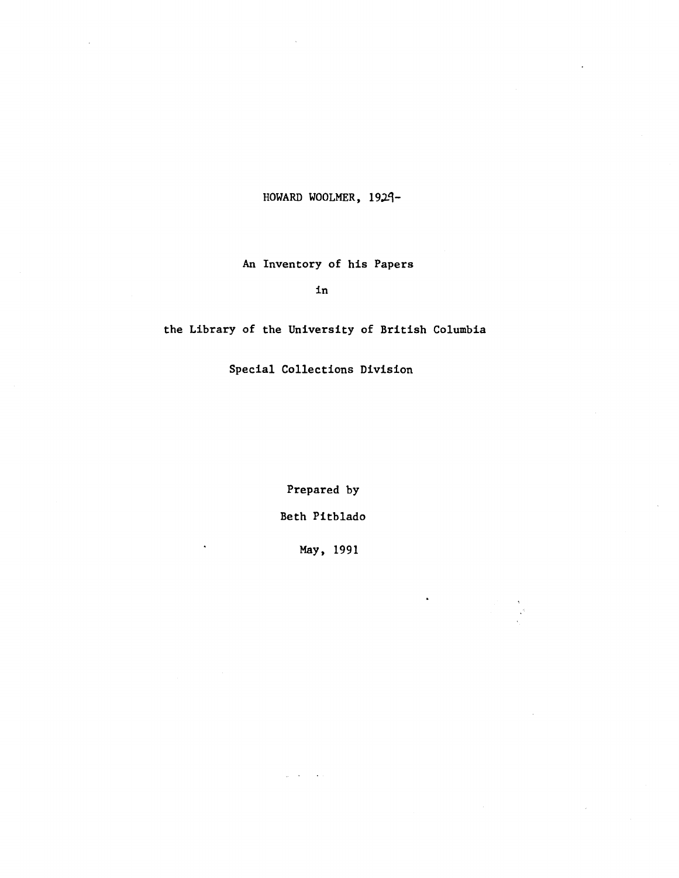HOWARD WOOLMER, 1929-

# **An Inventory of his Paper s**

**in**

the Library of the University of British Columbia

**Special Collections Division**

**Prepared by Beth Pitblado**

**May, 1991**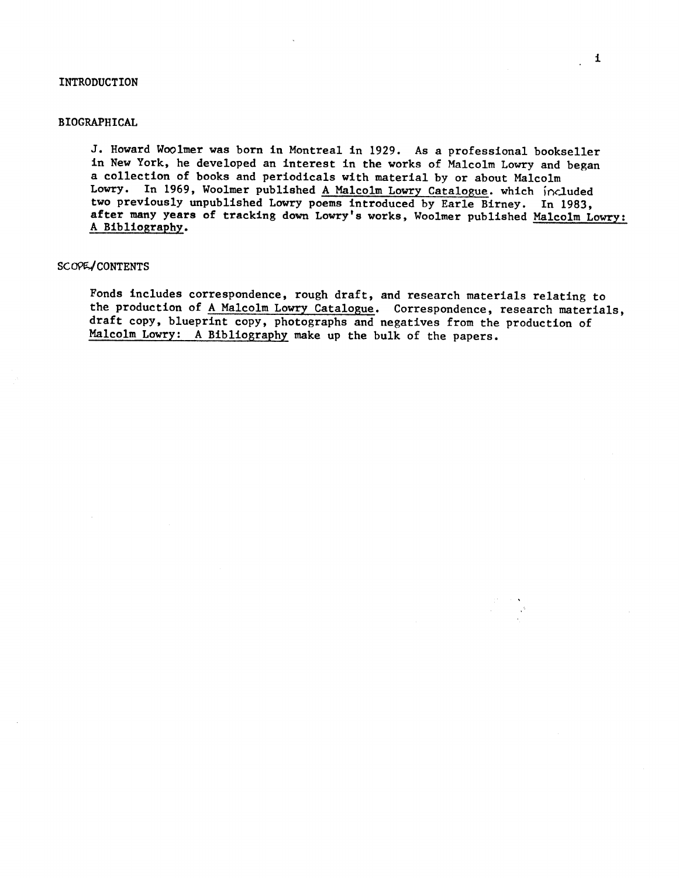### **INTRODUCTION**

## **BIOGRAPHICAL**

J. Howard Woolmer was born in Montreal in 1929. As a professional bookseller in New York, he developed an interest in the works of Malcolm Lowry and began a collection of books and periodicals with material by or about Malcolm Lowry. In 1969, Woolmer published A Malcolm Lowry Catalogue. which included two previously unpublished Lowry poems introduced by Earle Birney. In 1983, after many years of tracking down Lowry's works, Woolmer published Malcolm Lowry: A Bibliography .

## SCOPE/CONTENTS

Fonds includes correspondence, rough draft, and research materials relating to the production of A Malcolm Lowry Catalogue. Correspondence, research materials, draft copy, blueprint copy, photographs and negatives from the production of Malcolm Lowry: A Bibliography make up the bulk of the papers.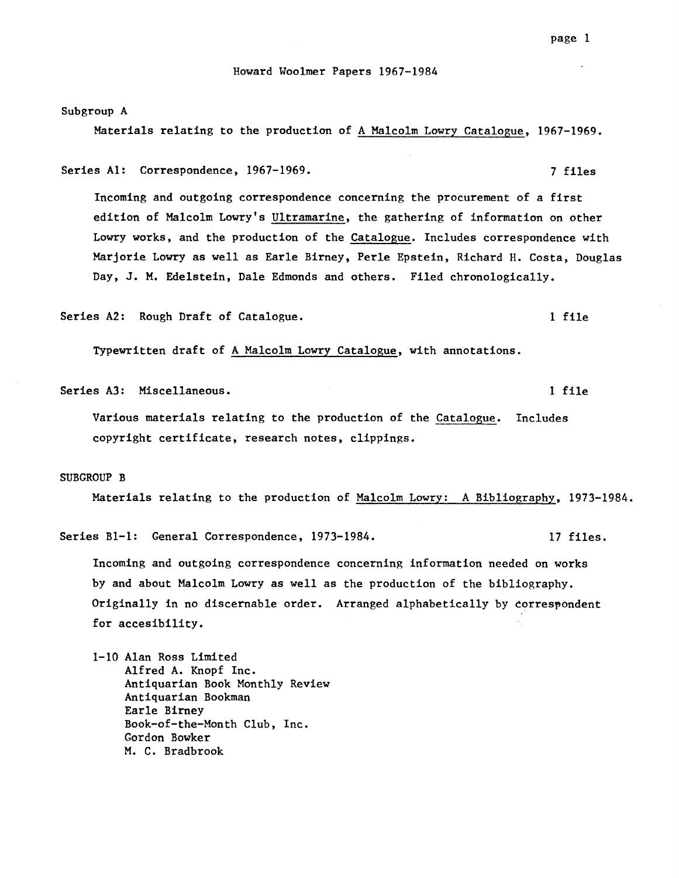Subgroup A

Materials relating to the production of A Malcolm Lowry Catalogue, 1967-1969 .

Series Al: Correspondence, 1967-1969. The manufacturer of the series of the series of the series of the series

Incoming and outgoing correspondence concerning the procurement of a first edition of Malcolm Lowry's Ultramarine, the gathering of information on other Lowry works, and the production of the Catalogue. Includes correspondence with Marjorie Lowry as well as Earle Birney, Perle Epstein, Richard H. Costa, Douglas Day, J. M. Edelstein, Dale Edmonds and others. Filed chronologically.

Series A2: Rough Draft of Catalogue. 1 file

Typewritten draft of A Malcolm Lowry Catalogue, with annotations .

Series A3 : Miscellaneous . 1 file

Various materials relating to the production of the Catalogue. Includes copyright certificate, research notes, clippings .

### **SUBGROUP B**

Materials relating to the production of Malcolm Lowry: A Bibliography, 1973-1984.

Series B1-1: General Correspondence, 1973-1984. 17 files.

Incoming and outgoing correspondence concerning information needed on works by and about Malcolm Lowry as well as the production of the bibliography . Originally in no discernable order. Arranged alphabetically by correspondent for accesibility .

1-10 Alan Ross Limited Alfred A. Knopf Inc. Antiquarian Book Monthly Review Antiquarian Bookman Earle Birney Book-of-the-Month Club, Inc . Gordon Bowker M. C. Bradbrook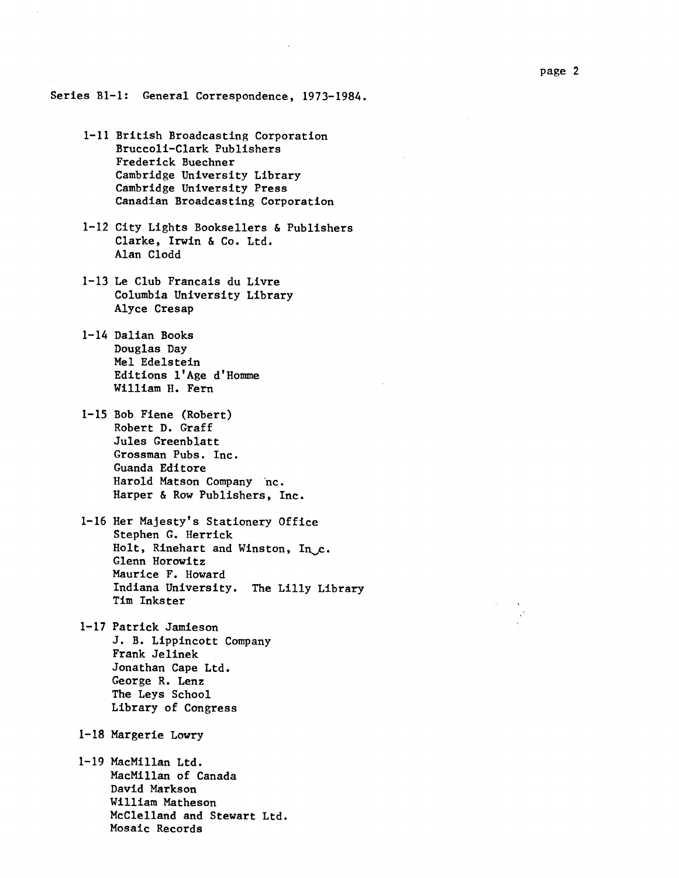Series B1-1: General Correspondence, 1973-1984.

- 1-11 British Broadcasting Corporation Bruccoli-Clark Publishers Frederick Buechner Cambridge University Library Cambridge University Press Canadian Broadcasting Corporation
- 1-12 City Lights Booksellers & Publishers Clarke, Irwin & Co. Ltd. Alan Clodd
- $1-13$  Le Club Francais du Livre Columbia University Library Alyce Cresap
- 1-14 Dalian Books Douglas Day Mel Edelstein Editions 1'Age d'Homme William H. Fern
- 1-15 Bob Fiene (Robert) Robert D. Graff Jules Greenblatt Grossman Pubs. Inc. Guanda Editore Harold Matson Company "nc . Harper & Row Publishers, Inc.
- 1-16 Her Majesty's Stationery Office Stephen G. Herrick Holt, Rinehart and Winston, In, c. Glenn Horowitz Maurice F. Howard Indiana University. The Lilly Library Tim Inkster
- 1-17 Patrick Jamieson J. B. Lippincott Company Frank Jelinek Jonathan Cape Ltd. George R. Lenz The Leys School Library of Congress
- 1-18 Margerie Lowry
- 1-19 MacMillan Ltd . MacMillan of Canada **David Markson William Matheson McClelland and Stewart Ltd .** Mosaic Records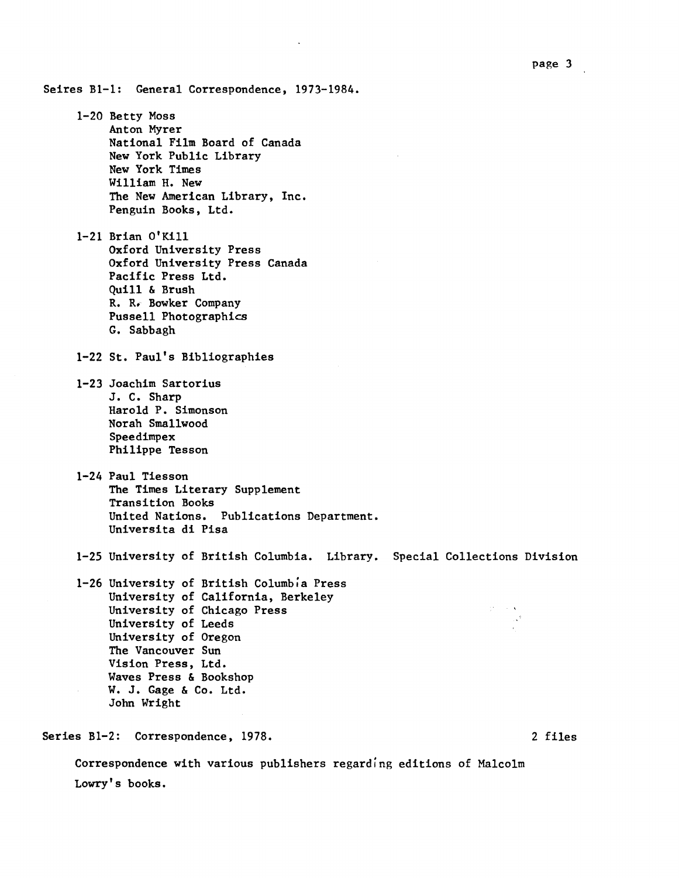Seires B1-1: General Correspondence, 1973-1984.

1-20 Betty Moss Anton Myrer National Film Board of Canada New York Public Library **New York Time <sup>s</sup> William H. New** The New American Library, Inc. **Penguin Books, Ltd .**

**1-21 Brian O'Kill Oxford University Pres s Oxford University Press Canada Pacific Press Ltd . Quill & Brush** R. R. Bowker Company Pussell Photographics **G. Sabbagh**

1-22 St. Paul's Bibliographies

- 1-23 Joachim Sartorius J. C. Sharp **Harold P . Simonson Norah Smallwood Speedimpex Philippe Tesson**
- 1-24 Paul Tiesson The Times Literary Supplement Transition Books United Nations. Publications Department. Universita di Pisa
- 1-25 University of British Columbia. Library. Special Collections Division

1-26 University of British Columbia Press University of California, Berkeley University of Chicago Press University of Leeds University of Oregon The Vancouver Sun Vision Press, Ltd. Waves Press & Bookshop W. J. Gage & Co. Ltd. John Wright

**Series B1-2 : Correspondence, 1978 . 2 files**

**Correspondence with various publishers regarding editions of Malcolm Lowry's books .**